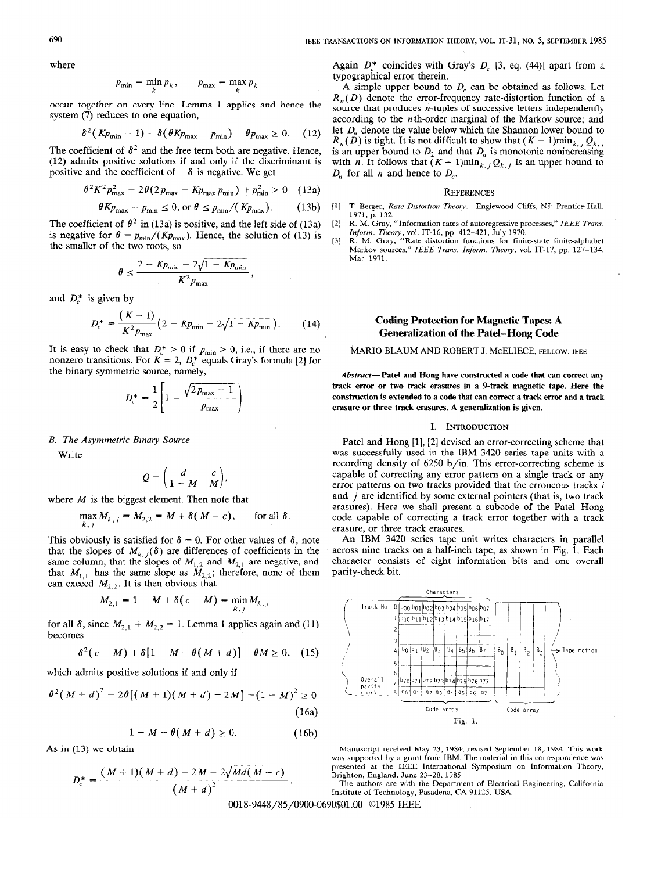where

$$
p_{\min} = \min_k p_k, \qquad p_{\max} = \max_k p_k
$$

occur together on every line. Lemma 1 applies and hence the system (7) reduces to one equation,

$$
\delta^2 (Kp_{\min} - 1) - \delta (\theta Kp_{\max} - p_{\min}) - \theta p_{\max} \ge 0. \quad (12)
$$

The coefficient of  $\delta^2$  and the free term both are negative. Hence, (12) admits positive solutions if and only if the discriminant is positive and the coefficient of  $-\delta$  is negative. We get

$$
\theta^2 K^2 p_{\max}^2 - 2\theta (2p_{\max} - K p_{\max} p_{\min}) + p_{\min}^2 \ge 0 \quad (13a)
$$

$$
\theta K p_{\max} - p_{\min} \leq 0, \text{ or } \theta \leq p_{\min} / (K p_{\max}). \tag{13b}
$$

The coefficient of  $\theta^2$  in (13a) is positive, and the left side of (13a) is negative for  $\theta = p_{min}/(Kp_{max})$ . Hence, the solution of (13) is the smaller of the two roots, so

$$
\theta \leq \frac{2 - K p_{\min} - 2\sqrt{1 - K p_{\min}}}{K^2 p_{\max}}
$$

and  $D_r^*$  is given by

$$
D_c^* = \frac{(K-1)}{K^2 p_{\text{max}}} \Big( 2 - K p_{\text{min}} - 2\sqrt{1 - K p_{\text{min}}} \Big). \tag{14}
$$

It is easy to check that  $D_c^* > 0$  if  $p_{\text{min}} > 0$ , i.e., if there are no nonzero transitions. For  $K = 2$ ,  $D_c^*$  equals Gray's formula [2] for the binary symmetric source, namely,

$$
D_c^* = \frac{1}{2} \left[ 1 - \frac{\sqrt{2 p_{\max} - 1}}{p_{\max}} \right]
$$

### B. The Asymmetric Binary Source

Write

$$
Q = \begin{pmatrix} d & c \\ 1 - M & M \end{pmatrix},
$$

where  $M$  is the biggest element. Then note that

$$
\max_{k,j} M_{k,j} = M_{2,2} = M + \delta(M - c), \quad \text{for all } \delta.
$$

This obviously is satisfied for  $\delta = 0$ . For other values of  $\delta$ , note that the slopes of  $M_{k, j}(\delta)$  are differences of coefficients in the same column, that the slopes of  $M_{1,2}$  and  $M_{2,1}$  are negative, and that  $M_{1,1}$  has the same slope as  $M_{2,2}$ ; therefore, none of them can exceed  $M_{2,2}$ . It is then obvious that

$$
M_{2,1} = 1 - M + \delta(c - M) = \min_{k,j} M_{k,j}
$$

for all  $\delta$ , since  $M_{2,1} + M_{2,2} = 1$ . Lemma 1 applies again and (11) becomes

$$
\delta^2(c-M)+\delta[1-M-\theta(M+d)]-\theta M\geq 0, (15)
$$

which admits positive solutions if and only if

$$
\theta^2(M+d)^2 - 2\theta[(M+1)(M+d) - 2M] + (1-M)^2 \ge 0
$$
\n(16a)

$$
1 - M - \theta(M + d) \ge 0. \tag{16b}
$$

As in (13) we obtain

$$
D_c^* = \frac{(M+1)(M+d) - 2M - 2\sqrt{Md(M-c)}}{(M+d)^2}.
$$

Again  $D^*$  coincides with Gray's  $D_c$  [3, eq. (44)] apart from a typographical error therein.

A simple upper bound to  $D<sub>c</sub>$  can be obtained as follows. Let  $R_n(D)$  denote the error-frequency rate-distortion function of a source that produces *n*-tuples of successive letters independently according to the *n*th-order marginal of the Markov source; and let  $D_n$  denote the value below which the Shannon lower bound to  $R_n(\hat{D})$  is tight. It is not difficult to show that  $(K-1)min_{k,j} Q_{k,j}$ is an upper bound to  $D_2$  and that  $D_n$  is monotonic nonincreasing with n. It follows that  $(K-1)$ min<sub>k, i</sub>  $Q_{k,j}$  is an upper bound to  $D_n$  for all *n* and hence to  $D_c$ .

#### **REFERENCES**

- $[1]$ T. Berger, Rate Distortion Theory. Englewood Cliffs, NJ: Prentice-Hall, 1971, p. 132.
- $[2]$ R. M. Gray, "Information rates of autoregressive processes," IEEE Trans. Inform. Theory, vol. IT-16, pp. 412-421, July 1970. R. M. Gray, "Rate distortion functions for finite-state finite-alphabet
- [31 Markov sources," IEEE Trans. Inform. Theory, vol. IT-17, pp. 127-134, Mar. 1971.

# Coding Protection for Magnetic Tapes: A Generalization of the Patel-Hong Code

## MARIO BLAUM AND ROBERT J. McELIECE, FELLOW, IEEE

Abstract-Patel and Hong have constructed a code that can correct any track error or two track erasures in a 9-track magnetic tape. Here the construction is extended to a code that can correct a track error and a track erasure or three track erasures. A generalization is given.

#### I. INTRODUCTION

Patel and Hong [1], [2] devised an error-correcting scheme that was successfully used in the IBM 3420 series tape units with a recording density of 6250 b/in. This error-correcting scheme is capable of correcting any error pattern on a single track or any error patterns on two tracks provided that the erroneous tracks i and  $j$  are identified by some external pointers (that is, two track erasures). Here we shall present a subcode of the Patel-Hong code capable of correcting a track error together with a track erasure, or three track erasures.

An IBM 3420 series tape unit writes characters in parallel across nine tracks on a half-inch tape, as shown in Fig. 1. Each character consists of eight information bits and one overall parity-check bit.



Manuscript received May 23, 1984; revised September 18, 1984. This work was supported by a grant from IBM. The material in this correspondence was presented at the IEEE International Symposium on Information Theory, Brighton, England, June 23-28, 1985.

The authors are with the Department of Electrical Engineering, California Institute of Technology, Pasadena, CA 91125, USA.

0018-9448/85/0900-0690\$01.00 ©1985 IEEE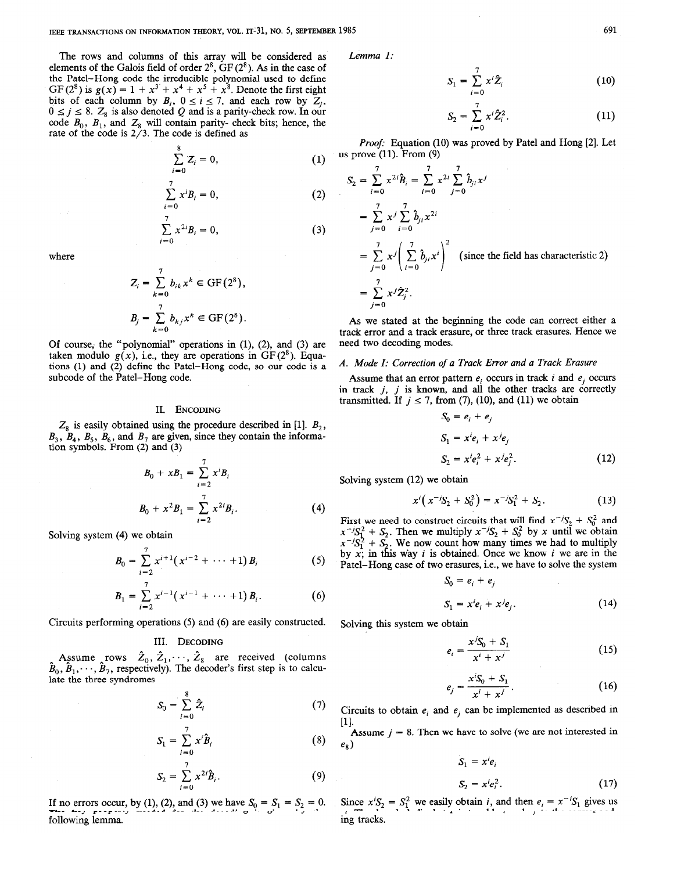The rows and columns of this array will be considered as elements of the Galois field of order  $2^8$ ,  $GF(2^8)$ . As in the case of the Patel-Hong code the irreducible polynomial used to define GF(2<sup>8</sup>) is  $g(x) = 1 + x^3 + x^4 + x^5 + x^8$ . Denote the first eight bits of each column by  $B_i$ ,  $0 \le i \le 7$ , and each row by  $Z_i$ ,  $0 \le j \le 8$ . Z<sub>8</sub> is also denoted Q and is a parity-check row. In our code  $B_0$ ,  $B_1$ , and  $Z_8$  will contain parity-check bits; hence, the rate of the code is 2/3. The code is defined as

$$
\sum_{i=0}^{8} Z_i = 0, \tag{1}
$$

$$
\sum_{i=0}^{7} x^{i} B_{i} = 0,
$$
 (2)

$$
\sum_{i=0}^{7} x^{2i} B_i = 0,
$$
\n(3)

where

$$
Z_i = \sum_{k=0}^7 b_{ik} x^k \in \text{GF}(2^8),
$$
  

$$
B_j = \sum_{k=0}^7 b_{kj} x^k \in \text{GF}(2^8).
$$

Of course, the "polynomial" operations in  $(1)$ ,  $(2)$ , and  $(3)$  are taken modulo  $g(x)$ , i.e., they are operations in  $GF(2<sup>8</sup>)$ . Equations (1) and (2) define the Patel-Hong code, so our code is a subcode of the Patel-Hong code.

### II. ENCODING

 $Z_8$  is easily obtained using the procedure described in [1].  $B_2$ ,  $B_3$ ,  $B_4$ ,  $B_5$ ,  $B_6$ , and  $B_7$  are given, since they contain the information symbols. From (2) and (3)

$$
B_0 + xB_1 = \sum_{i=2}^{7} x^i B_i
$$
  
\n
$$
B_0 + x^2 B_1 = \sum_{i=2}^{7} x^{2i} B_i.
$$
 (4)

Solving system (4) we obtain

$$
B_0 = \sum_{i=2}^7 x^{i+1} (x^{i-2} + \cdots + 1) B_i
$$
 (5)

$$
B_1 = \sum_{i=2}^{7} x^{i-1} (x^{i-1} + \cdots + 1) B_i.
$$
 (6)

Circuits performing operations (5) and (6) are easily constructed.

# III. DECODING

Assume rows  $Z_0, Z_1, \cdot$  $B_0, B_1, \cdots$  $Z_8$  are received (columns ,  $B_7$ , respectively). The decoder's first step is to calculate the three syndromes

$$
S_0 = \sum_{i=0}^{8} \hat{Z}_i \tag{7}
$$

$$
S_1 = \sum_{i=0}^{7} x^i \hat{B}_i \tag{8}
$$

$$
S_2 = \sum_{i=0}^7 x^{2i} \hat{B}_i.
$$
 (9)

If no errors occur, by (1), (2), and (3) we have  $S_0 = S_1 = S_2 = 0$ . The key property needed for the decoding is given by the following lemma.

Lemma 1:

$$
S_1 = \sum_{i=0}^{\prime} x^i \hat{Z}_i \tag{10}
$$

$$
S_2 = \sum_{i=0}^{7} x^i \hat{Z}_i^2.
$$
 (11)

Proof: Equation (10) was proved by Patel and Hong [2]. Let us prove  $(11)$ . From  $(9)$ 

$$
S_2 = \sum_{i=0}^7 x^{2i} \hat{B}_i = \sum_{i=0}^7 x^{2i} \sum_{j=0}^7 \hat{b}_{ji} x^j
$$
  
= 
$$
\sum_{j=0}^7 x^j \sum_{i=0}^7 \hat{b}_{ji} x^{2i}
$$
  
= 
$$
\sum_{j=0}^7 x^j \left(\sum_{i=0}^7 \hat{b}_{ji} x^i\right)^2
$$
 (since the field has characteristic 2)  
= 
$$
\sum_{j=0}^7 x^j \hat{Z}_j^2.
$$

As we stated at the beginning the code can correct either a track error and a track erasure, or three track erasures. Hence we need two decoding modes.

#### A. Mode I: Correction of a Track Error and a Track Erasure

 $\sigma = - + -$ 

Assume that an error pattern  $e_i$  occurs in track i and  $e_j$  occurs in track  $j$ ,  $j$  is known, and all the other tracks are correctly transmitted. If  $j \le 7$ , from (7), (10), and (11) we obtain

$$
S_0 = e_i + e_j
$$
  
\n
$$
S_1 = x^i e_i + x^j e_j
$$
  
\n
$$
S_2 = x^i e_i^2 + x^j e_j^2.
$$
\n(12)

Solving system (12) we obtain

$$
x^{i}(x^{-j}S_{2}+S_{0}^{2})=x^{-j}S_{1}^{2}+S_{2}.
$$
 (13)

First we need to construct circuits that will find  $x^{-1}S_2 + S_0^2$  and  $x^{-1}S_1^2 + S_2$ . Then we multiply  $x^{-1}S_2^2 + S_0^2$  by x until we obtain  $x^{-1}S_1^2 + S_2$ . We now count how many times we had to multiply by  $x$ ; in this way i is obtained. Once we know i we are in the Patel-Hong case of two erasures, i.e., we have to solve the system

$$
S_0 = e_i + e_j
$$
  
\n
$$
S_1 = x^i e_i + x^j e_j.
$$
 (14)

Solving this system we obtain

$$
e_i = \frac{x^j S_0 + S_1}{x^i + x^j}
$$
 (15)

$$
e_j = \frac{x^{i} S_0 + S_1}{x^{i} + x^{j}}.
$$
 (16)

Circuits to obtain  $e_i$  and  $e_j$  can be implemented as described in  $[1]$ .

Assume  $j = 8$ . Then we have to solve (we are not interested in  $e_8$ )

$$
S_1 = x^i e_i
$$
  

$$
S_2 = x^i e_i^2.
$$
 (17)

Since  $x'S_2 = S_1^2$  we easily obtain i, and then  $e_i = x^{-1}S_1$  gives us ei. The decoder's final step is to add ei and ej to the corresponding tracks.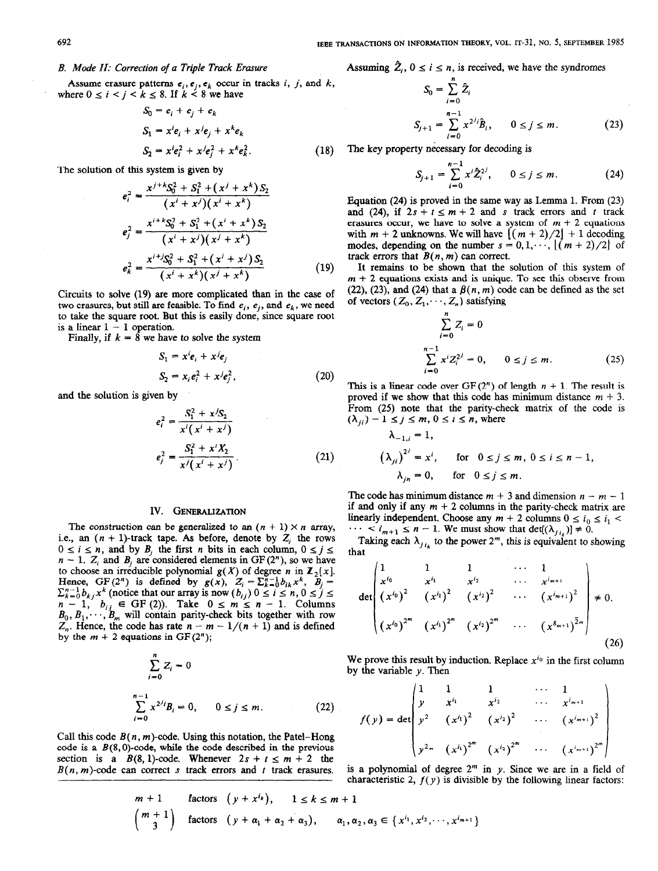$\boldsymbol{n}$ 

### B. Mode II: Correction of a Triple Track Erasure

Assume erasure patterns  $e_i, e_j, e_k$  occur in tracks i, j, and k, where  $0 \le i \le j \le k \le 8$ . If  $k \le 8$  we have

$$
S_0 = e_i + e_j + e_k
$$
  
\n
$$
S_1 = x^i e_i + x^j e_j + x^k e_k
$$
  
\n
$$
S_2 = x^i e_i^2 + x^j e_j^2 + x^k e_k^2.
$$
\n(18)

The solution of this system is given by

$$
e_i^2 = \frac{x^{j+k}S_0^2 + S_1^2 + (x^j + x^k)S_2}{(x^i + x^j)(x^i + x^k)}
$$
  
\n
$$
e_j^2 = \frac{x^{i+k}S_0^2 + S_1^2 + (x^i + x^k)S_2}{(x^i + x^j)(x^j + x^k)}
$$
  
\n
$$
e_k^2 = \frac{x^{i+j}S_0^2 + S_1^2 + (x^i + x^j)S_2}{(x^i + x^k)(x^j + x^k)}
$$
 (19)

Circuits to solve (19) are more complicated than in the case of two erasures, but still are feasible. To find  $e_i$ ,  $e_i$ , and  $e_k$ , we need to take the square root. But this is easily done, since square root is a linear  $1 - 1$  operation.

Finally, if  $k = 8$  we have to solve the system

$$
S_1 = x^i e_i + x^j e_j
$$
  
\n
$$
S_2 = x_i e_i^2 + x^j e_j^2,
$$
\n(20)

and the solution is given by

$$
e_i^2 = \frac{S_1^2 + x/S_2}{x^i(x^i + x^j)}
$$
  

$$
e_j^2 = \frac{S_1^2 + x^i X_2}{x^j(x^i + x^j)}.
$$
 (21)

## IV. GENERALIZATION

The construction can be generalized to an  $(n + 1) \times n$  array, i.e., an  $(n + 1)$ -track tape. As before, denote by  $Z_i$  the rows  $0 \le i \le n$ , and by B<sub>i</sub> the first n bits in each column,  $0 \le j \le$  $n - 1$ . Z<sub>i</sub> and B<sub>i</sub> are considered elements in GF (2<sup>n</sup>), so we have to choose an irreducible polynomial  $g(X)$  of degree n in  $\mathbb{Z}_2[x]$ . Hence,  $GF(2^n)$  is defined by  $g(x)$ ,  $Z_i = \sum_{k=0}^{n-1} b_{ik}x^k$ ,  $B_i =$  $\sum_{k=0}^{n-1} b_{k,i}x^{k}$  (notice that our array is now  $(b_{i,j})$   $0 \le i \le n$ ,  $0 \le j \le n$  $n-1$ ,  $b_{ij} \in \text{GF (2)}$ . Take  $0 \leq m \leq n-1$ . Columns  $B_0, B_1, \dots, B_m$  will contain parity-check bits together with row  $Z_n$ . Hence, the code has rate  $n - m - 1/(n + 1)$  and is defined by the  $m + 2$  equations in GF(2");

$$
\sum_{i=0}^{n} Z_i = 0
$$
  

$$
\sum_{i=0}^{n-1} x^{2^{j_i}} B_i = 0, \qquad 0 \le j \le m.
$$
 (22)

Call this code  $B(n, m)$ -code. Using this notation, the Patel–Hong code is a  $B(8,0)$ -code, while the code described in the previous section is a  $B(8, 1)$ -code. Whenever  $2s + t \le m + 2$  the  $B(n, m)$ -code can correct s track errors and t track erasures.

Assuming 
$$
Z_i
$$
,  $0 \leq i \leq n$ , is received, we have the syndromes

$$
S_0 = \sum_{i=0}^{n} \hat{Z}_i
$$
  
\n
$$
S_{j+1} = \sum_{i=0}^{n-1} x^{2^{j}i} \hat{B}_i, \qquad 0 \le j \le m.
$$
 (23)

The key property necessary for decoding is

$$
S_{j+1} = \sum_{i=0}^{n-1} x^i \hat{Z}_i^{2^j}, \qquad 0 \le j \le m. \tag{24}
$$

Equation (24) is proved in the same way as Lemma 1. From (23) and (24), if  $2s + t \le m + 2$  and s track errors and t track erasures occur, we have to solve a system of  $m + 2$  equations with  $m + 2$  unknowns. We will have  $[(m + 2)/2] + 1$  decoding modes, depending on the number  $s = 0, 1, \dots, \lfloor (m + 2)/2 \rfloor$  of track errors that  $B(n, m)$  can correct.

It remains to be shown that the solution of this system of  $m + 2$  equations exists and is unique. To see this observe from (22), (23), and (24) that a  $\beta(n, m)$  code can be defined as the set of vectors  $(Z_0, Z_1, \dots, Z_n)$  satisfying

$$
\sum_{i=0}^{n} Z_i = 0
$$
  
\n
$$
\sum_{i=0}^{n-1} x^i Z_i^{2^j} = 0, \qquad 0 \le j \le m.
$$
 (25)

This is a linear code over GF(2<sup>n</sup>) of length  $n + 1$ . The result is proved if we show that this code has minimum distance  $m + 3$ . From (25) note that the parity-check matrix of the code is  $(\lambda_{ii}) - 1 \le j \le m, 0 \le i \le n$ , where

$$
\lambda_{-1,i} = 1,
$$
\n
$$
\left(\lambda_{ji}\right)^{2^j} = x^i, \quad \text{for} \quad 0 \le j \le m, \ 0 \le i \le n-1,
$$
\n
$$
\lambda_{jn} = 0, \quad \text{for} \quad 0 \le j \le m.
$$

The code has minimum distance  $m + 3$  and dimension  $n - m - 1$ if and only if any  $m + 2$  columns in the parity-check matrix are linearly independent. Choose any  $m + 2$  columns  $0 \le i_0 \le i_1$  $\cdots < i_{m+1} \le n - 1$ . We must show that det[( $\lambda_{i,j}$ )]  $\neq 0$ .

Taking each  $\lambda_{j,i_k}$  to the power 2<sup>m</sup>, this is equivalent to showing that

$$
\det\begin{pmatrix} 1 & 1 & 1 & \cdots & 1 \\ x^{i_0} & x^{i_1} & x^{i_2} & \cdots & x^{i_{m+1}} \\ (x^{i_0})^2 & (x^{i_1})^2 & (x^{i_2})^2 & \cdots & (x^{i_{m+1}})^2 \\ (x^{i_0})^{2^m} & (x^{i_1})^{2^m} & (x^{i_2})^{2^m} & \cdots & (x^{8_{m+1}})^{2^m} \end{pmatrix} \neq 0.
$$
\n(26)

We prove this result by induction. Replace  $x^{i_0}$  in the first column by the variable  $\nu$ . Then

$$
f(y) = \det \begin{pmatrix} 1 & 1 & 1 & \cdots & 1 \\ y & x^{i_1} & x^{i_2} & \cdots & x^{i_{m+1}} \\ y^2 & (x^{i_1})^2 & (x^{i_2})^2 & \cdots & (x^{i_{m+1}})^2 \\ y^{2_m} & (x^{i_1})^{2^m} & (x^{i_2})^{2^m} & \cdots & (x^{i_{m+1}})^{2^m} \end{pmatrix}
$$

is a polynomial of degree  $2<sup>m</sup>$  in y. Since we are in a field of characteristic 2,  $f(y)$  is divisible by the following linear factors:

$$
\begin{aligned}\nm+1 & \text{factors} & \left(y + x^{t_k}\right), \quad 1 \le k \le m+1 \\
\binom{m+1}{3} & \text{factors} & \left(y + \alpha_1 + \alpha_2 + \alpha_3\right), \quad \alpha_1, \alpha_2, \alpha_3 \in \left\{x^{t_1}, x^{t_2}, \dots, x^{t_{m+1}}\right\}\n\end{aligned}
$$